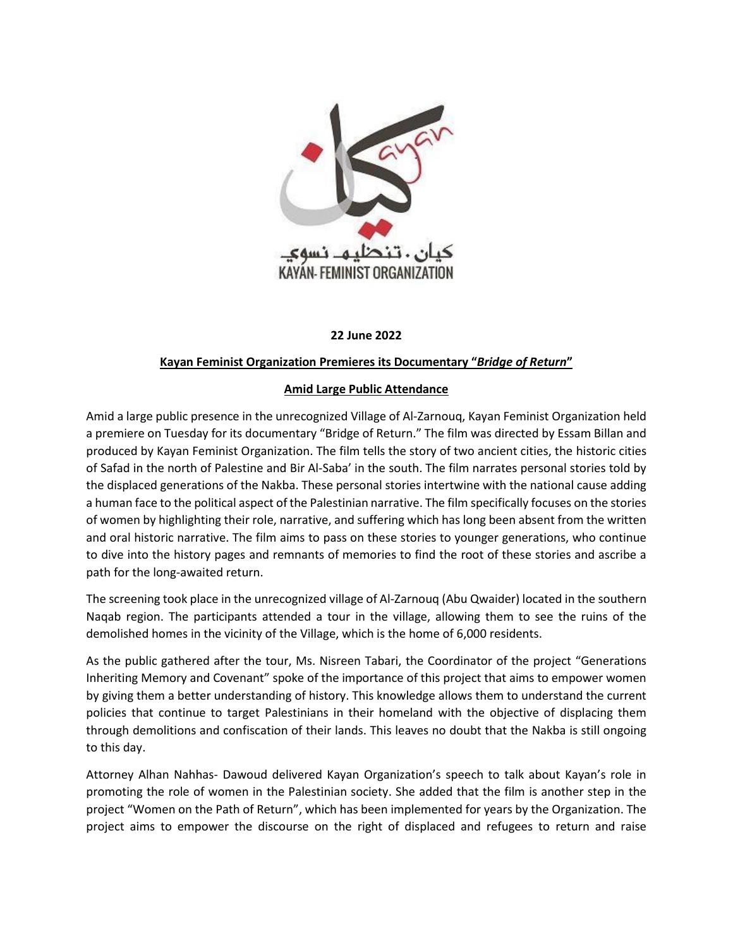

## **22 June 2022**

## **Kayan Feminist Organization Premieres its Documentary "***Bridge of Return***"**

## **Amid Large Public Attendance**

Amid a large public presence in the unrecognized Village of Al-Zarnouq, Kayan Feminist Organization held a premiere on Tuesday for its documentary "Bridge of Return." The film was directed by Essam Billan and produced by Kayan Feminist Organization. The film tells the story of two ancient cities, the historic cities of Safad in the north of Palestine and Bir Al-Saba' in the south. The film narrates personal stories told by the displaced generations of the Nakba. These personal stories intertwine with the national cause adding a human face to the political aspect of the Palestinian narrative. The film specifically focuses on the stories of women by highlighting their role, narrative, and suffering which has long been absent from the written and oral historic narrative. The film aims to pass on these stories to younger generations, who continue to dive into the history pages and remnants of memories to find the root of these stories and ascribe a path for the long-awaited return.

The screening took place in the unrecognized village of Al-Zarnouq (Abu Qwaider) located in the southern Naqab region. The participants attended a tour in the village, allowing them to see the ruins of the demolished homes in the vicinity of the Village, which is the home of 6,000 residents.

As the public gathered after the tour, Ms. Nisreen Tabari, the Coordinator of the project "Generations Inheriting Memory and Covenant" spoke of the importance of this project that aims to empower women by giving them a better understanding of history. This knowledge allows them to understand the current policies that continue to target Palestinians in their homeland with the objective of displacing them through demolitions and confiscation of their lands. This leaves no doubt that the Nakba is still ongoing to this day.

Attorney Alhan Nahhas- Dawoud delivered Kayan Organization's speech to talk about Kayan's role in promoting the role of women in the Palestinian society. She added that the film is another step in the project "Women on the Path of Return", which has been implemented for years by the Organization. The project aims to empower the discourse on the right of displaced and refugees to return and raise